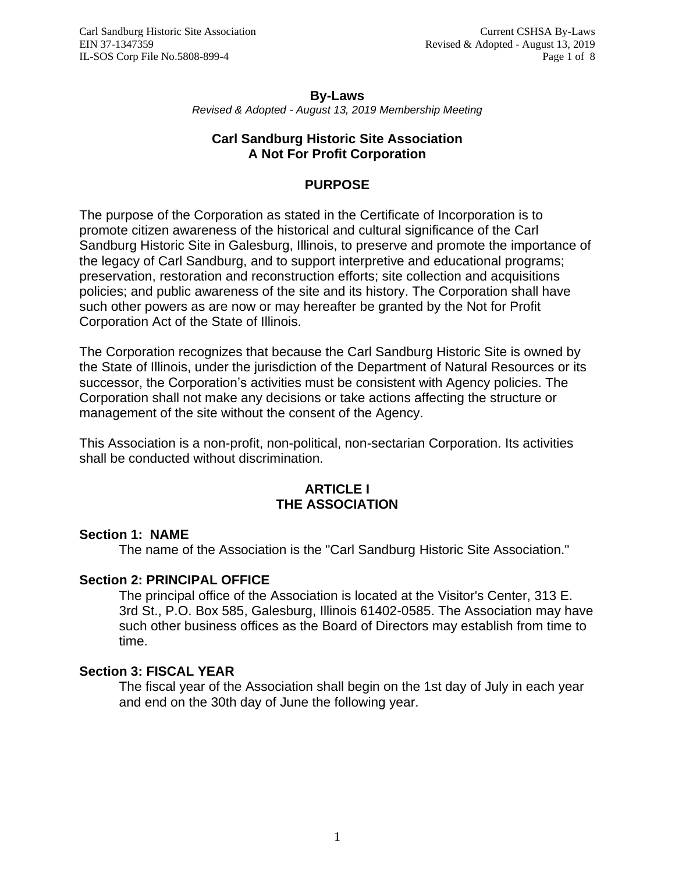#### **By-Laws** *Revised & Adopted - August 13, 2019 Membership Meeting*

# **Carl Sandburg Historic Site Association A Not For Profit Corporation**

# **PURPOSE**

The purpose of the Corporation as stated in the Certificate of Incorporation is to promote citizen awareness of the historical and cultural significance of the Carl Sandburg Historic Site in Galesburg, Illinois, to preserve and promote the importance of the legacy of Carl Sandburg, and to support interpretive and educational programs; preservation, restoration and reconstruction efforts; site collection and acquisitions policies; and public awareness of the site and its history. The Corporation shall have such other powers as are now or may hereafter be granted by the Not for Profit Corporation Act of the State of Illinois.

The Corporation recognizes that because the Carl Sandburg Historic Site is owned by the State of Illinois, under the jurisdiction of the Department of Natural Resources or its successor, the Corporation's activities must be consistent with Agency policies. The Corporation shall not make any decisions or take actions affecting the structure or management of the site without the consent of the Agency.

This Association is a non-profit, non-political, non-sectarian Corporation. Its activities shall be conducted without discrimination.

#### **ARTICLE I THE ASSOCIATION**

## **Section 1: NAME**

The name of the Association is the "Carl Sandburg Historic Site Association."

## **Section 2: PRINCIPAL OFFICE**

The principal office of the Association is located at the Visitor's Center, 313 E. 3rd St., P.O. Box 585, Galesburg, Illinois 61402-0585. The Association may have such other business offices as the Board of Directors may establish from time to time.

#### **Section 3: FISCAL YEAR**

The fiscal year of the Association shall begin on the 1st day of July in each year and end on the 30th day of June the following year.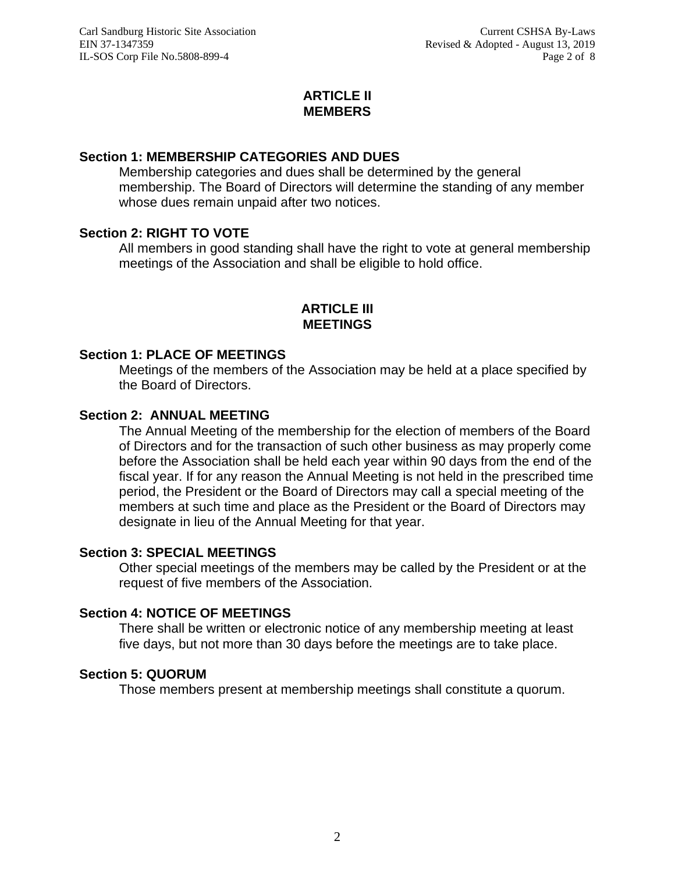# **ARTICLE II MEMBERS**

# **Section 1: MEMBERSHIP CATEGORIES AND DUES**

Membership categories and dues shall be determined by the general membership. The Board of Directors will determine the standing of any member whose dues remain unpaid after two notices.

# **Section 2: RIGHT TO VOTE**

All members in good standing shall have the right to vote at general membership meetings of the Association and shall be eligible to hold office.

# **ARTICLE III MEETINGS**

## **Section 1: PLACE OF MEETINGS**

Meetings of the members of the Association may be held at a place specified by the Board of Directors.

# **Section 2: ANNUAL MEETING**

The Annual Meeting of the membership for the election of members of the Board of Directors and for the transaction of such other business as may properly come before the Association shall be held each year within 90 days from the end of the fiscal year. If for any reason the Annual Meeting is not held in the prescribed time period, the President or the Board of Directors may call a special meeting of the members at such time and place as the President or the Board of Directors may designate in lieu of the Annual Meeting for that year.

## **Section 3: SPECIAL MEETINGS**

Other special meetings of the members may be called by the President or at the request of five members of the Association.

## **Section 4: NOTICE OF MEETINGS**

There shall be written or electronic notice of any membership meeting at least five days, but not more than 30 days before the meetings are to take place.

## **Section 5: QUORUM**

Those members present at membership meetings shall constitute a quorum.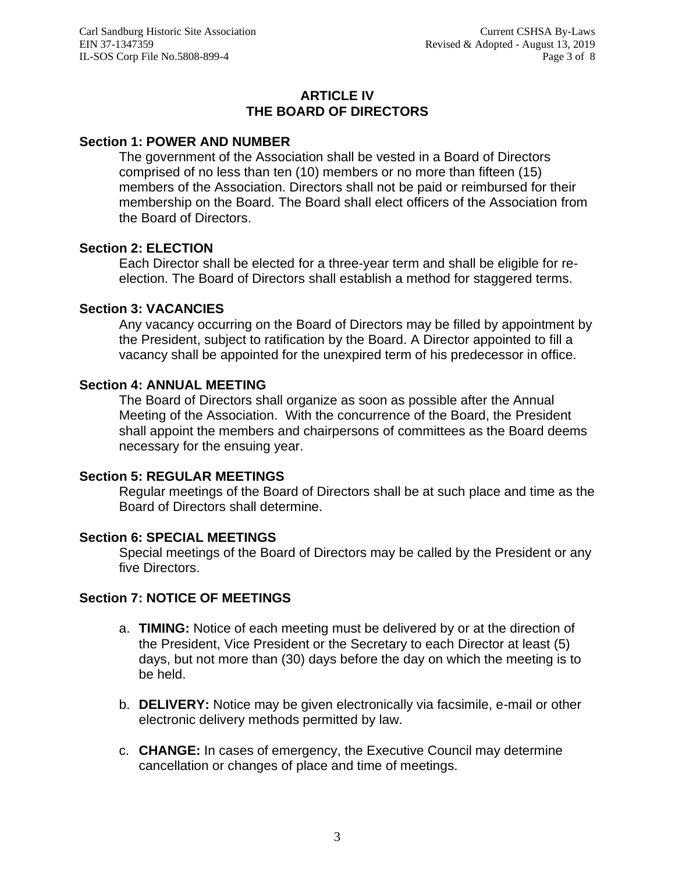# **ARTICLE IV THE BOARD OF DIRECTORS**

## **Section 1: POWER AND NUMBER**

The government of the Association shall be vested in a Board of Directors comprised of no less than ten (10) members or no more than fifteen (15) members of the Association. Directors shall not be paid or reimbursed for their membership on the Board. The Board shall elect officers of the Association from the Board of Directors.

## **Section 2: ELECTION**

Each Director shall be elected for a three-year term and shall be eligible for reelection. The Board of Directors shall establish a method for staggered terms.

#### **Section 3: VACANCIES**

Any vacancy occurring on the Board of Directors may be filled by appointment by the President, subject to ratification by the Board. A Director appointed to fill a vacancy shall be appointed for the unexpired term of his predecessor in office.

#### **Section 4: ANNUAL MEETING**

The Board of Directors shall organize as soon as possible after the Annual Meeting of the Association. With the concurrence of the Board, the President shall appoint the members and chairpersons of committees as the Board deems necessary for the ensuing year.

#### **Section 5: REGULAR MEETINGS**

Regular meetings of the Board of Directors shall be at such place and time as the Board of Directors shall determine.

#### **Section 6: SPECIAL MEETINGS**

Special meetings of the Board of Directors may be called by the President or any five Directors.

## **Section 7: NOTICE OF MEETINGS**

- a. **TIMING:** Notice of each meeting must be delivered by or at the direction of the President, Vice President or the Secretary to each Director at least (5) days, but not more than (30) days before the day on which the meeting is to be held.
- b. **DELIVERY:** Notice may be given electronically via facsimile, e-mail or other electronic delivery methods permitted by law.
- c. **CHANGE:** In cases of emergency, the Executive Council may determine cancellation or changes of place and time of meetings.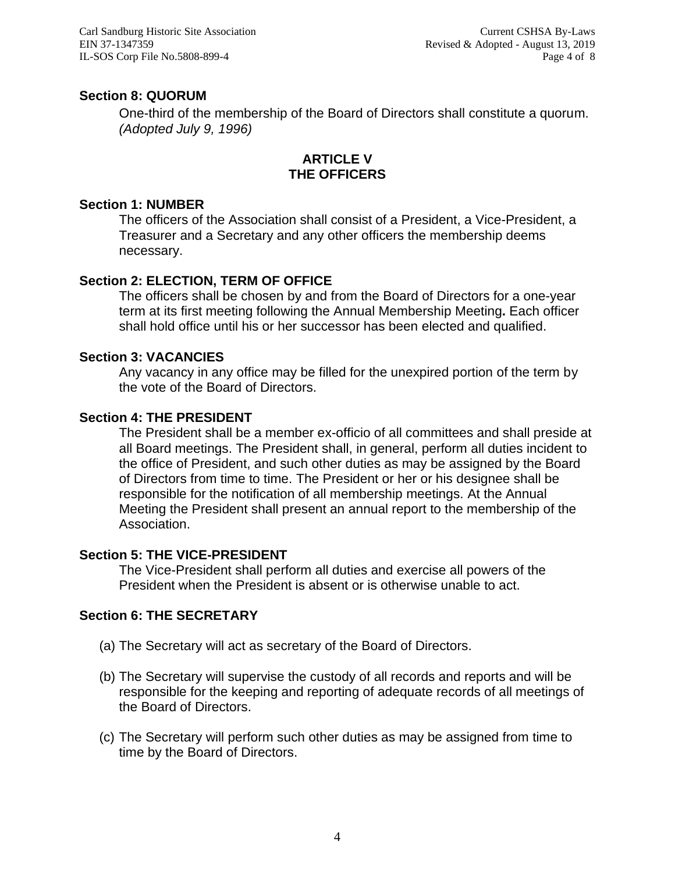Carl Sandburg Historic Site Association EIN 37-1347359 IL-SOS Corp File No.5808-899-4

# **Section 8: QUORUM**

One-third of the membership of the Board of Directors shall constitute a quorum. *(Adopted July 9, 1996)*

# **ARTICLE V THE OFFICERS**

#### **Section 1: NUMBER**

The officers of the Association shall consist of a President, a Vice-President, a Treasurer and a Secretary and any other officers the membership deems necessary.

# **Section 2: ELECTION, TERM OF OFFICE**

The officers shall be chosen by and from the Board of Directors for a one-year term at its first meeting following the Annual Membership Meeting**.** Each officer shall hold office until his or her successor has been elected and qualified.

#### **Section 3: VACANCIES**

Any vacancy in any office may be filled for the unexpired portion of the term by the vote of the Board of Directors.

## **Section 4: THE PRESIDENT**

The President shall be a member ex-officio of all committees and shall preside at all Board meetings. The President shall, in general, perform all duties incident to the office of President, and such other duties as may be assigned by the Board of Directors from time to time. The President or her or his designee shall be responsible for the notification of all membership meetings. At the Annual Meeting the President shall present an annual report to the membership of the Association.

## **Section 5: THE VICE-PRESIDENT**

The Vice-President shall perform all duties and exercise all powers of the President when the President is absent or is otherwise unable to act.

## **Section 6: THE SECRETARY**

- (a) The Secretary will act as secretary of the Board of Directors.
- (b) The Secretary will supervise the custody of all records and reports and will be responsible for the keeping and reporting of adequate records of all meetings of the Board of Directors.
- (c) The Secretary will perform such other duties as may be assigned from time to time by the Board of Directors.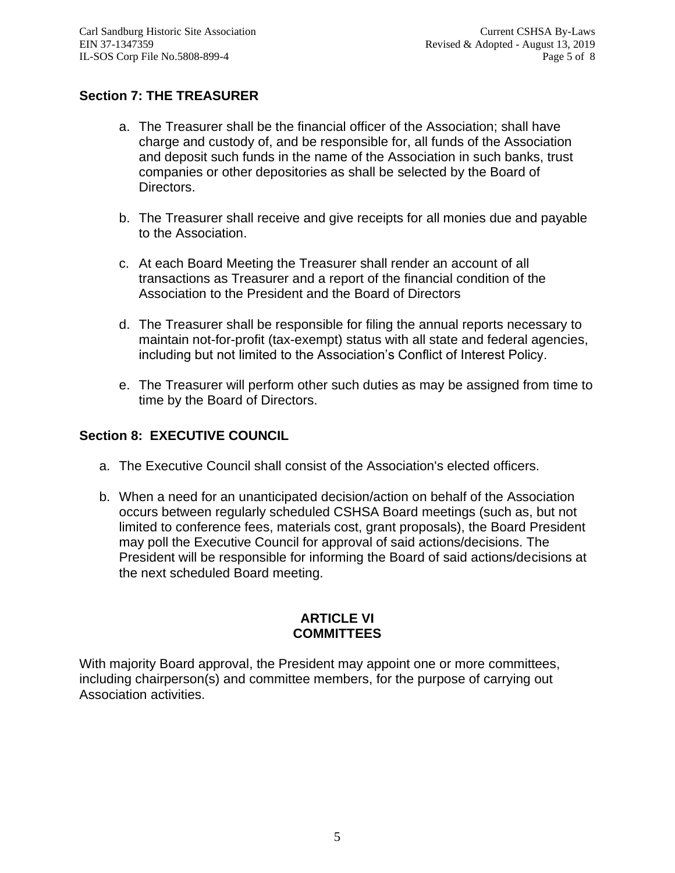# **Section 7: THE TREASURER**

- a. The Treasurer shall be the financial officer of the Association; shall have charge and custody of, and be responsible for, all funds of the Association and deposit such funds in the name of the Association in such banks, trust companies or other depositories as shall be selected by the Board of Directors.
- b. The Treasurer shall receive and give receipts for all monies due and payable to the Association.
- c. At each Board Meeting the Treasurer shall render an account of all transactions as Treasurer and a report of the financial condition of the Association to the President and the Board of Directors
- d. The Treasurer shall be responsible for filing the annual reports necessary to maintain not-for-profit (tax-exempt) status with all state and federal agencies, including but not limited to the Association's Conflict of Interest Policy.
- e. The Treasurer will perform other such duties as may be assigned from time to time by the Board of Directors.

# **Section 8: EXECUTIVE COUNCIL**

- a. The Executive Council shall consist of the Association's elected officers.
- b. When a need for an unanticipated decision/action on behalf of the Association occurs between regularly scheduled CSHSA Board meetings (such as, but not limited to conference fees, materials cost, grant proposals), the Board President may poll the Executive Council for approval of said actions/decisions. The President will be responsible for informing the Board of said actions/decisions at the next scheduled Board meeting.

## **ARTICLE VI COMMITTEES**

With majority Board approval, the President may appoint one or more committees, including chairperson(s) and committee members, for the purpose of carrying out Association activities.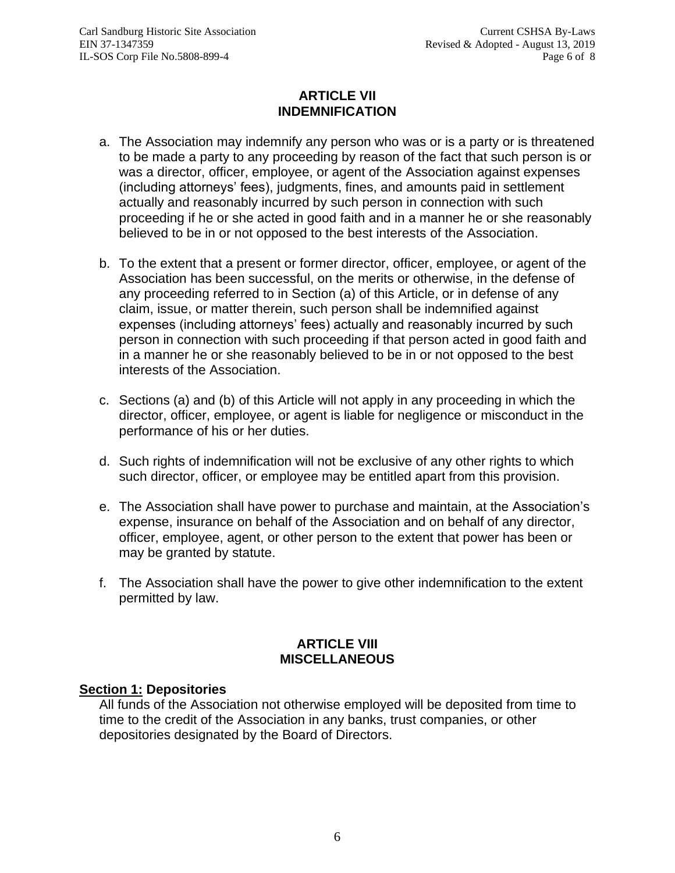# **ARTICLE VII INDEMNIFICATION**

- a. The Association may indemnify any person who was or is a party or is threatened to be made a party to any proceeding by reason of the fact that such person is or was a director, officer, employee, or agent of the Association against expenses (including attorneys' fees), judgments, fines, and amounts paid in settlement actually and reasonably incurred by such person in connection with such proceeding if he or she acted in good faith and in a manner he or she reasonably believed to be in or not opposed to the best interests of the Association.
- b. To the extent that a present or former director, officer, employee, or agent of the Association has been successful, on the merits or otherwise, in the defense of any proceeding referred to in Section (a) of this Article, or in defense of any claim, issue, or matter therein, such person shall be indemnified against expenses (including attorneys' fees) actually and reasonably incurred by such person in connection with such proceeding if that person acted in good faith and in a manner he or she reasonably believed to be in or not opposed to the best interests of the Association.
- c. Sections (a) and (b) of this Article will not apply in any proceeding in which the director, officer, employee, or agent is liable for negligence or misconduct in the performance of his or her duties.
- d. Such rights of indemnification will not be exclusive of any other rights to which such director, officer, or employee may be entitled apart from this provision.
- e. The Association shall have power to purchase and maintain, at the Association's expense, insurance on behalf of the Association and on behalf of any director, officer, employee, agent, or other person to the extent that power has been or may be granted by statute.
- f. The Association shall have the power to give other indemnification to the extent permitted by law.

# **ARTICLE VIII MISCELLANEOUS**

## **Section 1: Depositories**

All funds of the Association not otherwise employed will be deposited from time to time to the credit of the Association in any banks, trust companies, or other depositories designated by the Board of Directors.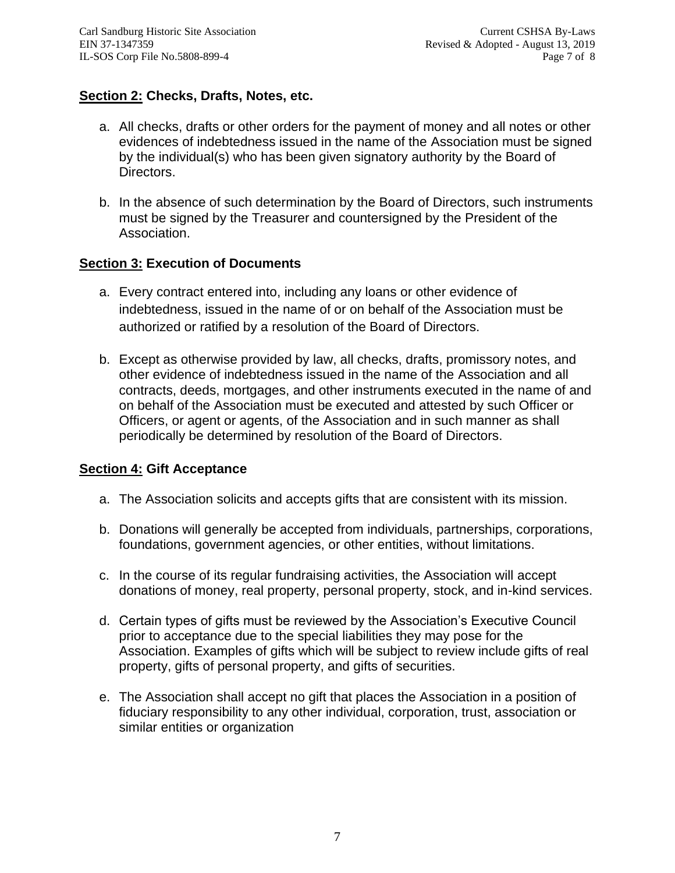# **Section 2: Checks, Drafts, Notes, etc.**

- a. All checks, drafts or other orders for the payment of money and all notes or other evidences of indebtedness issued in the name of the Association must be signed by the individual(s) who has been given signatory authority by the Board of Directors.
- b. In the absence of such determination by the Board of Directors, such instruments must be signed by the Treasurer and countersigned by the President of the Association.

# **Section 3: Execution of Documents**

- a. Every contract entered into, including any loans or other evidence of indebtedness, issued in the name of or on behalf of the Association must be authorized or ratified by a resolution of the Board of Directors.
- b. Except as otherwise provided by law, all checks, drafts, promissory notes, and other evidence of indebtedness issued in the name of the Association and all contracts, deeds, mortgages, and other instruments executed in the name of and on behalf of the Association must be executed and attested by such Officer or Officers, or agent or agents, of the Association and in such manner as shall periodically be determined by resolution of the Board of Directors.

# **Section 4: Gift Acceptance**

- a. The Association solicits and accepts gifts that are consistent with its mission.
- b. Donations will generally be accepted from individuals, partnerships, corporations, foundations, government agencies, or other entities, without limitations.
- c. In the course of its regular fundraising activities, the Association will accept donations of money, real property, personal property, stock, and in-kind services.
- d. Certain types of gifts must be reviewed by the Association's Executive Council prior to acceptance due to the special liabilities they may pose for the Association. Examples of gifts which will be subject to review include gifts of real property, gifts of personal property, and gifts of securities.
- e. The Association shall accept no gift that places the Association in a position of fiduciary responsibility to any other individual, corporation, trust, association or similar entities or organization